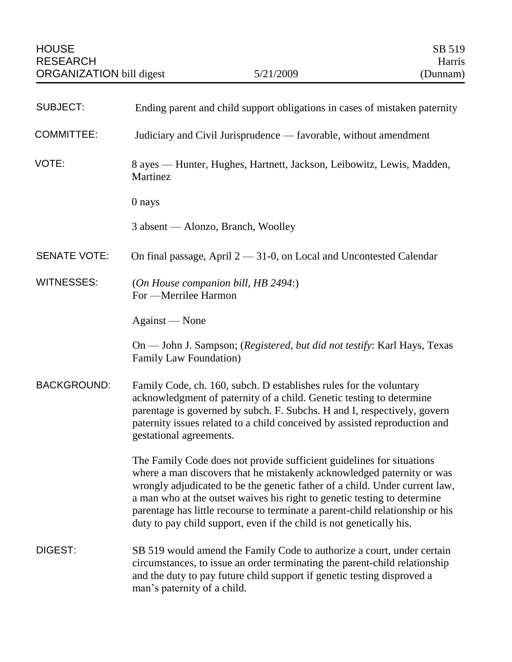| <b>SUBJECT:</b>     | Ending parent and child support obligations in cases of mistaken paternity                                                                                                                                                                                                                                                                                                                                                                                          |
|---------------------|---------------------------------------------------------------------------------------------------------------------------------------------------------------------------------------------------------------------------------------------------------------------------------------------------------------------------------------------------------------------------------------------------------------------------------------------------------------------|
| <b>COMMITTEE:</b>   | Judiciary and Civil Jurisprudence — favorable, without amendment                                                                                                                                                                                                                                                                                                                                                                                                    |
| VOTE:               | 8 ayes — Hunter, Hughes, Hartnett, Jackson, Leibowitz, Lewis, Madden,<br>Martinez                                                                                                                                                                                                                                                                                                                                                                                   |
|                     | 0 nays                                                                                                                                                                                                                                                                                                                                                                                                                                                              |
|                     | 3 absent — Alonzo, Branch, Woolley                                                                                                                                                                                                                                                                                                                                                                                                                                  |
| <b>SENATE VOTE:</b> | On final passage, April $2 - 31$ -0, on Local and Uncontested Calendar                                                                                                                                                                                                                                                                                                                                                                                              |
| <b>WITNESSES:</b>   | (On House companion bill, HB 2494:)<br>For -Merrilee Harmon                                                                                                                                                                                                                                                                                                                                                                                                         |
|                     | Against — None                                                                                                                                                                                                                                                                                                                                                                                                                                                      |
|                     | On — John J. Sampson; (Registered, but did not testify: Karl Hays, Texas<br>Family Law Foundation)                                                                                                                                                                                                                                                                                                                                                                  |
| <b>BACKGROUND:</b>  | Family Code, ch. 160, subch. D establishes rules for the voluntary<br>acknowledgment of paternity of a child. Genetic testing to determine<br>parentage is governed by subch. F. Subchs. H and I, respectively, govern<br>paternity issues related to a child conceived by assisted reproduction and<br>gestational agreements.                                                                                                                                     |
|                     | The Family Code does not provide sufficient guidelines for situations<br>where a man discovers that he mistakenly acknowledged paternity or was<br>wrongly adjudicated to be the genetic father of a child. Under current law,<br>a man who at the outset waives his right to genetic testing to determine<br>parentage has little recourse to terminate a parent-child relationship or his<br>duty to pay child support, even if the child is not genetically his. |
| DIGEST:             | SB 519 would amend the Family Code to authorize a court, under certain<br>circumstances, to issue an order terminating the parent-child relationship<br>and the duty to pay future child support if genetic testing disproved a<br>man's paternity of a child.                                                                                                                                                                                                      |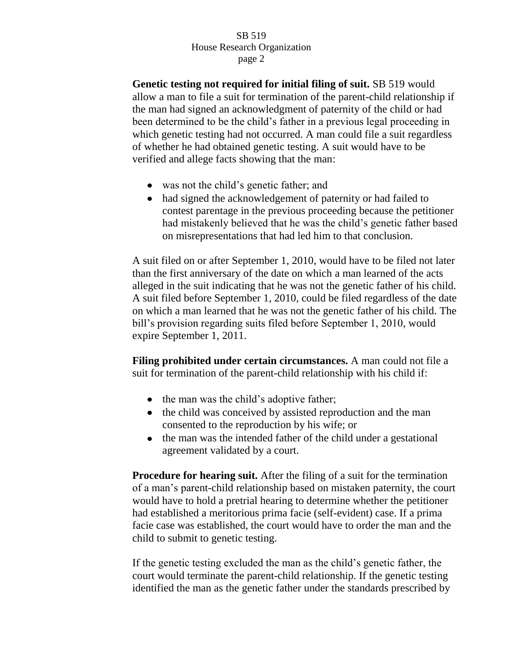## SB 519 House Research Organization page 2

**Genetic testing not required for initial filing of suit.** SB 519 would allow a man to file a suit for termination of the parent-child relationship if the man had signed an acknowledgment of paternity of the child or had been determined to be the child's father in a previous legal proceeding in which genetic testing had not occurred. A man could file a suit regardless of whether he had obtained genetic testing. A suit would have to be verified and allege facts showing that the man:

- was not the child's genetic father; and
- had signed the acknowledgement of paternity or had failed to contest parentage in the previous proceeding because the petitioner had mistakenly believed that he was the child's genetic father based on misrepresentations that had led him to that conclusion.

A suit filed on or after September 1, 2010, would have to be filed not later than the first anniversary of the date on which a man learned of the acts alleged in the suit indicating that he was not the genetic father of his child. A suit filed before September 1, 2010, could be filed regardless of the date on which a man learned that he was not the genetic father of his child. The bill's provision regarding suits filed before September 1, 2010, would expire September 1, 2011.

**Filing prohibited under certain circumstances.** A man could not file a suit for termination of the parent-child relationship with his child if:

- the man was the child's adoptive father;
- the child was conceived by assisted reproduction and the man consented to the reproduction by his wife; or
- the man was the intended father of the child under a gestational agreement validated by a court.

**Procedure for hearing suit.** After the filing of a suit for the termination of a man's parent-child relationship based on mistaken paternity, the court would have to hold a pretrial hearing to determine whether the petitioner had established a meritorious prima facie (self-evident) case. If a prima facie case was established, the court would have to order the man and the child to submit to genetic testing.

If the genetic testing excluded the man as the child's genetic father, the court would terminate the parent-child relationship. If the genetic testing identified the man as the genetic father under the standards prescribed by